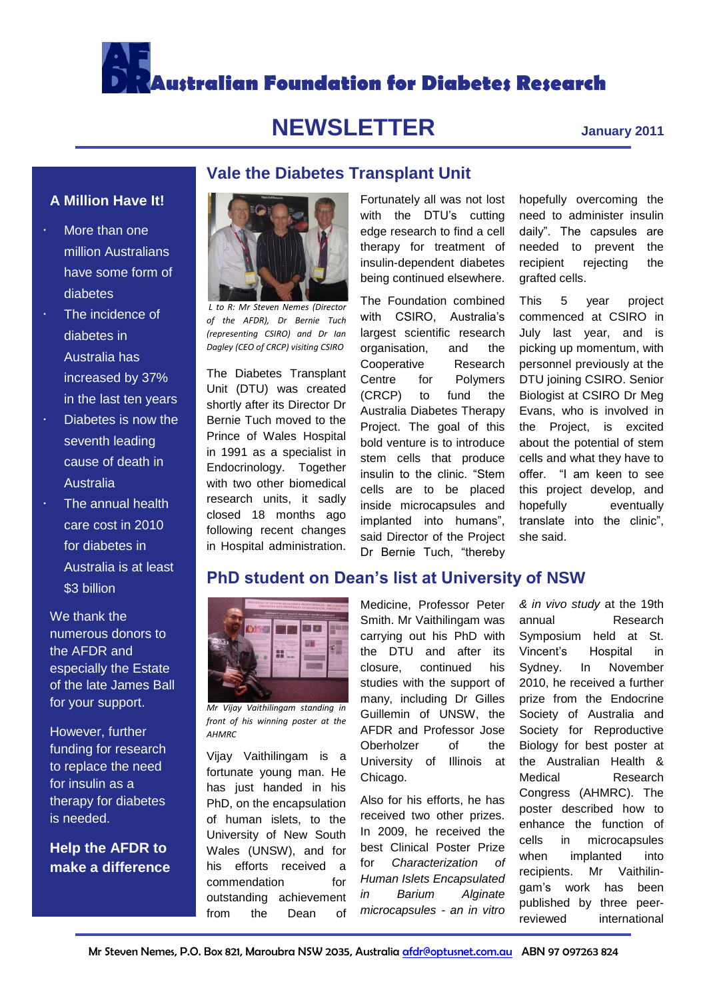

# **NEWSLETTER January 2011**

**Vale the Diabetes Transplant Unit**

### **A Million Have It!**

- More than one million Australians have some form of diabetes
- The incidence of diabetes in Australia has increased by 37% in the last ten years
- $\cdot$  Diabetes is now the seventh leading cause of death in Australia
- The annual health care cost in 2010 for diabetes in Australia is at least \$3 billion

We thank the numerous donors to the AFDR and especially the Estate of the late James Ball for your support.

However, further funding for research to replace the need for insulin as a therapy for diabetes is needed.

**Help the AFDR to make a difference**



*L to R: Mr Steven Nemes (Director of the AFDR), Dr Bernie Tuch (representing CSIRO) and Dr Ian Dagley (CEO of CRCP) visiting CSIRO*

The Diabetes Transplant Unit (DTU) was created shortly after its Director Dr Bernie Tuch moved to the Prince of Wales Hospital in 1991 as a specialist in Endocrinology. Together with two other biomedical research units, it sadly closed 18 months ago following recent changes in Hospital administration.

*Mr Vijay Vaithilingam standing in front of his winning poster at the* 

**Cytolene** 

00

u ll

**Rail 200** 

보호

fortunate young man. He has just handed in his PhD, on the encapsulation of human islets, to the University of New South Wales (UNSW), and for his efforts received a commendation for outstanding achievement from the Dean of

Fortunately all was not lost with the DTU's cutting edge research to find a cell therapy for treatment of insulin-dependent diabetes being continued elsewhere.

The Foundation combined with CSIRO, Australia's largest scientific research organisation, and the Cooperative Research Centre for Polymers (CRCP) to fund the Australia Diabetes Therapy Project. The goal of this bold venture is to introduce stem cells that produce insulin to the clinic. "Stem cells are to be placed inside microcapsules and implanted into humans", said Director of the Project Dr Bernie Tuch, "thereby

Medicine, Professor Peter Smith. Mr Vaithilingam was carrying out his PhD with the DTU and after its closure, continued his studies with the support of many, including Dr Gilles Guillemin of UNSW, the AFDR and Professor Jose University of Illinois at Chicago.

Also for his efforts, he has received two other prizes. In 2009, he received the best Clinical Poster Prize for *Characterization of Human Islets Encapsulated in Barium Alginate microcapsules - an in vitro*  hopefully overcoming the need to administer insulin daily". The capsules are needed to prevent the recipient rejecting the grafted cells.

This 5 year project commenced at CSIRO in July last year, and is picking up momentum, with personnel previously at the DTU joining CSIRO. Senior Biologist at CSIRO Dr Meg Evans, who is involved in the Project, is excited about the potential of stem cells and what they have to offer. "I am keen to see this project develop, and hopefully eventually translate into the clinic", she said.

*& in vivo study* at the 19th annual Research Symposium held at St. Vincent's Hospital in Sydney. In November 2010, he received a further prize from the Endocrine Society of Australia and Society for Reproductive Biology for best poster at the Australian Health & Medical Research Congress (AHMRC). The poster described how to enhance the function of cells in microcapsules when implanted into recipients. Mr Vaithilingam's work has been published by three peerreviewed international

#### *AHMRC* Vijay Vaithilingam is a Oberholzer of the

**PhD student on Dean's list at University of NSW**